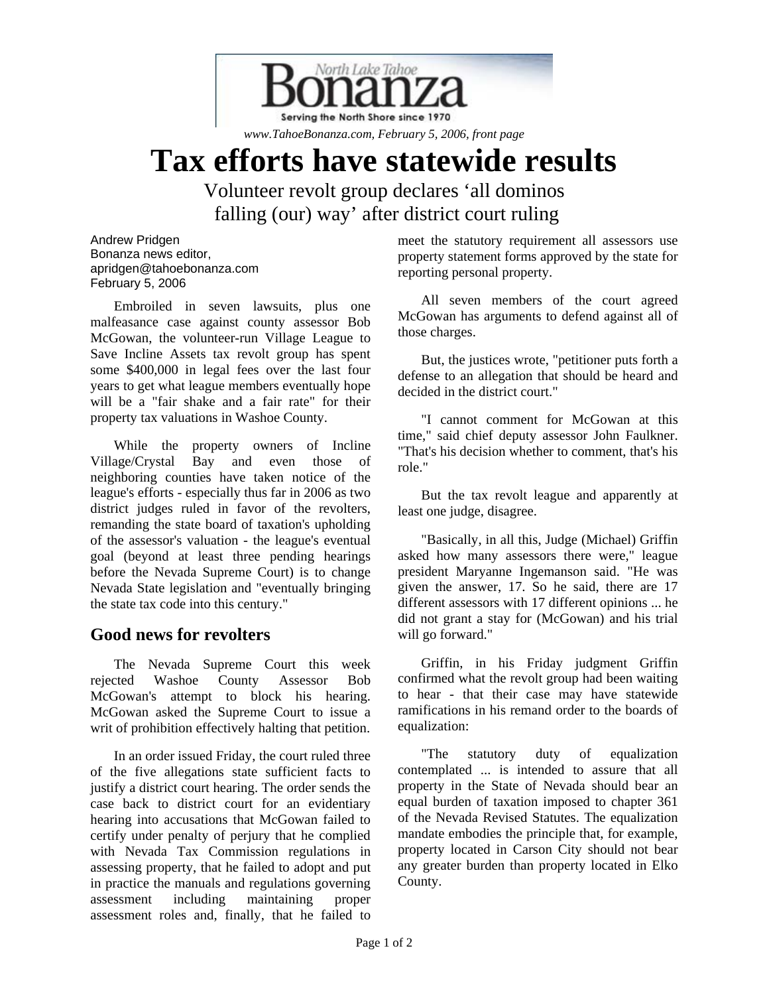

*www.TahoeBonanza.com, February 5, 2006, front page* 

## **Tax efforts have statewide results**

Volunteer revolt group declares 'all dominos falling (our) way' after district court ruling

Andrew Pridgen Bonanza news editor, apridgen@tahoebonanza.com February 5, 2006

Embroiled in seven lawsuits, plus one malfeasance case against county assessor Bob McGowan, the volunteer-run Village League to Save Incline Assets tax revolt group has spent some \$400,000 in legal fees over the last four years to get what league members eventually hope will be a "fair shake and a fair rate" for their property tax valuations in Washoe County.

While the property owners of Incline Village/Crystal Bay and even those of neighboring counties have taken notice of the league's efforts - especially thus far in 2006 as two district judges ruled in favor of the revolters, remanding the state board of taxation's upholding of the assessor's valuation - the league's eventual goal (beyond at least three pending hearings before the Nevada Supreme Court) is to change Nevada State legislation and "eventually bringing the state tax code into this century."

## **Good news for revolters**

The Nevada Supreme Court this week rejected Washoe County Assessor Bob McGowan's attempt to block his hearing. McGowan asked the Supreme Court to issue a writ of prohibition effectively halting that petition.

In an order issued Friday, the court ruled three of the five allegations state sufficient facts to justify a district court hearing. The order sends the case back to district court for an evidentiary hearing into accusations that McGowan failed to certify under penalty of perjury that he complied with Nevada Tax Commission regulations in assessing property, that he failed to adopt and put in practice the manuals and regulations governing assessment including maintaining proper assessment roles and, finally, that he failed to meet the statutory requirement all assessors use property statement forms approved by the state for reporting personal property.

All seven members of the court agreed McGowan has arguments to defend against all of those charges.

But, the justices wrote, "petitioner puts forth a defense to an allegation that should be heard and decided in the district court."

"I cannot comment for McGowan at this time," said chief deputy assessor John Faulkner. "That's his decision whether to comment, that's his role."

But the tax revolt league and apparently at least one judge, disagree.

"Basically, in all this, Judge (Michael) Griffin asked how many assessors there were," league president Maryanne Ingemanson said. "He was given the answer, 17. So he said, there are 17 different assessors with 17 different opinions ... he did not grant a stay for (McGowan) and his trial will go forward."

Griffin, in his Friday judgment Griffin confirmed what the revolt group had been waiting to hear - that their case may have statewide ramifications in his remand order to the boards of equalization:

"The statutory duty of equalization contemplated ... is intended to assure that all property in the State of Nevada should bear an equal burden of taxation imposed to chapter 361 of the Nevada Revised Statutes. The equalization mandate embodies the principle that, for example, property located in Carson City should not bear any greater burden than property located in Elko County.